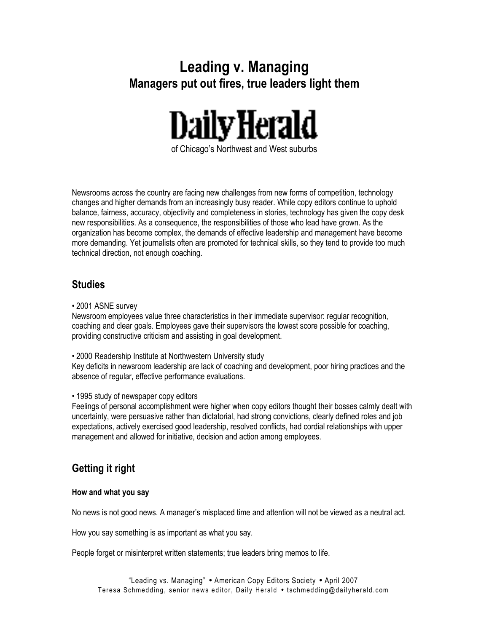# **Leading v. Managing Managers put out fires, true leaders light them**



Newsrooms across the country are facing new challenges from new forms of competition, technology changes and higher demands from an increasingly busy reader. While copy editors continue to uphold balance, fairness, accuracy, objectivity and completeness in stories, technology has given the copy desk new responsibilities. As a consequence, the responsibilities of those who lead have grown. As the organization has become complex, the demands of effective leadership and management have become more demanding. Yet journalists often are promoted for technical skills, so they tend to provide too much technical direction, not enough coaching.

## **Studies**

• 2001 ASNE survey

Newsroom employees value three characteristics in their immediate supervisor: regular recognition, coaching and clear goals. Employees gave their supervisors the lowest score possible for coaching, providing constructive criticism and assisting in goal development.

• 2000 Readership Institute at Northwestern University study

Key deficits in newsroom leadership are lack of coaching and development, poor hiring practices and the absence of regular, effective performance evaluations.

• 1995 study of newspaper copy editors

Feelings of personal accomplishment were higher when copy editors thought their bosses calmly dealt with uncertainty, were persuasive rather than dictatorial, had strong convictions, clearly defined roles and job expectations, actively exercised good leadership, resolved conflicts, had cordial relationships with upper management and allowed for initiative, decision and action among employees.

# **Getting it right**

#### **How and what you say**

No news is not good news. A manager's misplaced time and attention will not be viewed as a neutral act.

How you say something is as important as what you say.

People forget or misinterpret written statements; true leaders bring memos to life.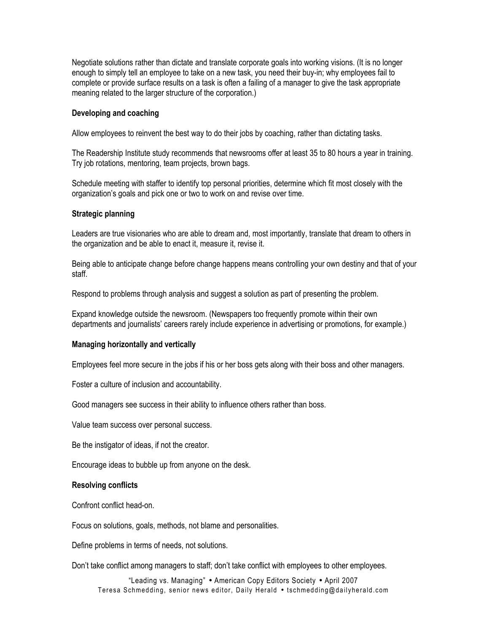Negotiate solutions rather than dictate and translate corporate goals into working visions. (It is no longer enough to simply tell an employee to take on a new task, you need their buy-in; why employees fail to complete or provide surface results on a task is often a failing of a manager to give the task appropriate meaning related to the larger structure of the corporation.)

#### **Developing and coaching**

Allow employees to reinvent the best way to do their jobs by coaching, rather than dictating tasks.

The Readership Institute study recommends that newsrooms offer at least 35 to 80 hours a year in training. Try job rotations, mentoring, team projects, brown bags.

Schedule meeting with staffer to identify top personal priorities, determine which fit most closely with the organization's goals and pick one or two to work on and revise over time.

#### **Strategic planning**

Leaders are true visionaries who are able to dream and, most importantly, translate that dream to others in the organization and be able to enact it, measure it, revise it.

Being able to anticipate change before change happens means controlling your own destiny and that of your staff.

Respond to problems through analysis and suggest a solution as part of presenting the problem.

Expand knowledge outside the newsroom. (Newspapers too frequently promote within their own departments and journalists' careers rarely include experience in advertising or promotions, for example.)

#### **Managing horizontally and vertically**

Employees feel more secure in the jobs if his or her boss gets along with their boss and other managers.

Foster a culture of inclusion and accountability.

Good managers see success in their ability to influence others rather than boss.

Value team success over personal success.

Be the instigator of ideas, if not the creator.

Encourage ideas to bubble up from anyone on the desk.

#### **Resolving conflicts**

Confront conflict head-on.

Focus on solutions, goals, methods, not blame and personalities.

Define problems in terms of needs, not solutions.

Don't take conflict among managers to staff; don't take conflict with employees to other employees.

"Leading vs. Managing" • American Copy Editors Society • April 2007 Teresa Schmedding, senior news editor, Daily Herald • tschmedding@dailyherald.com